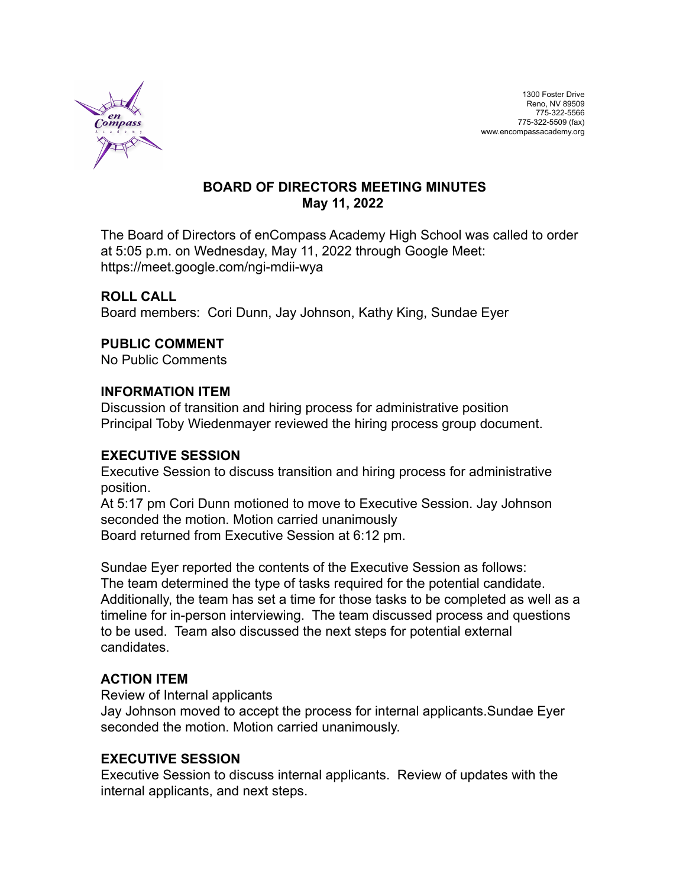

# **BOARD OF DIRECTORS MEETING MINUTES May 11, 2022**

The Board of Directors of enCompass Academy High School was called to order at 5:05 p.m. on Wednesday, May 11, 2022 through Google Meet: https://meet.google.com/ngi-mdii-wya

# **ROLL CALL**

Board members: Cori Dunn, Jay Johnson, Kathy King, Sundae Eyer

# **PUBLIC COMMENT**

No Public Comments

## **INFORMATION ITEM**

Discussion of transition and hiring process for administrative position Principal Toby Wiedenmayer reviewed the hiring process group document.

## **EXECUTIVE SESSION**

Executive Session to discuss transition and hiring process for administrative position.

At 5:17 pm Cori Dunn motioned to move to Executive Session. Jay Johnson seconded the motion. Motion carried unanimously Board returned from Executive Session at 6:12 pm.

Sundae Eyer reported the contents of the Executive Session as follows: The team determined the type of tasks required for the potential candidate. Additionally, the team has set a time for those tasks to be completed as well as a timeline for in-person interviewing. The team discussed process and questions to be used. Team also discussed the next steps for potential external candidates.

# **ACTION ITEM**

Review of Internal applicants

Jay Johnson moved to accept the process for internal applicants.Sundae Eyer seconded the motion. Motion carried unanimously.

## **EXECUTIVE SESSION**

Executive Session to discuss internal applicants. Review of updates with the internal applicants, and next steps.